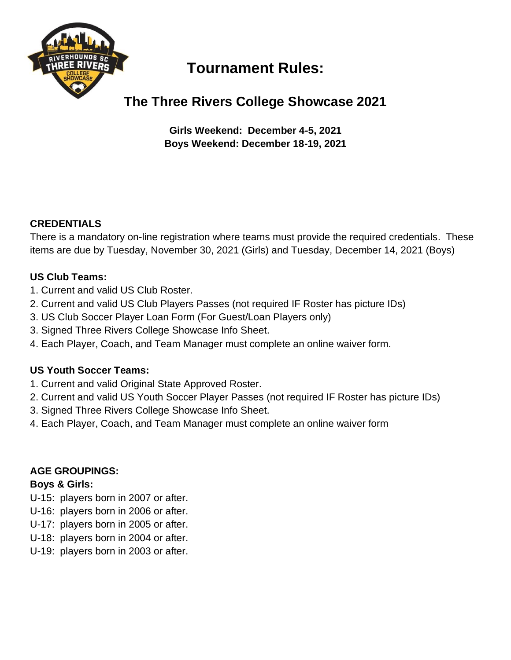

# **Tournament Rules:**

## **The Three Rivers College Showcase 2021**

**Girls Weekend: December 4-5, 2021 Boys Weekend: December 18-19, 2021**

## **CREDENTIALS**

There is a mandatory on-line registration where teams must provide the required credentials. These items are due by Tuesday, November 30, 2021 (Girls) and Tuesday, December 14, 2021 (Boys)

## **US Club Teams:**

- 1. Current and valid US Club Roster.
- 2. Current and valid US Club Players Passes (not required IF Roster has picture IDs)
- 3. US Club Soccer Player Loan Form (For Guest/Loan Players only)
- 3. Signed Three Rivers College Showcase Info Sheet.
- 4. Each Player, Coach, and Team Manager must complete an online waiver form.

## **US Youth Soccer Teams:**

- 1. Current and valid Original State Approved Roster.
- 2. Current and valid US Youth Soccer Player Passes (not required IF Roster has picture IDs)
- 3. Signed Three Rivers College Showcase Info Sheet.
- 4. Each Player, Coach, and Team Manager must complete an online waiver form

## **AGE GROUPINGS:**

#### **Boys & Girls:**

- U-15: players born in 2007 or after.
- U-16: players born in 2006 or after.
- U-17: players born in 2005 or after.
- U-18: players born in 2004 or after.
- U-19: players born in 2003 or after.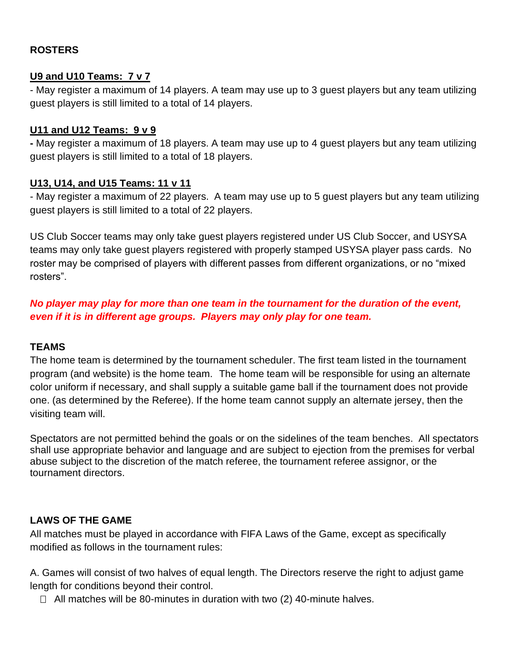#### **ROSTERS**

#### **U9 and U10 Teams: 7 v 7**

- May register a maximum of 14 players. A team may use up to 3 guest players but any team utilizing guest players is still limited to a total of 14 players.

#### **U11 and U12 Teams: 9 v 9**

**-** May register a maximum of 18 players. A team may use up to 4 guest players but any team utilizing guest players is still limited to a total of 18 players.

#### **U13, U14, and U15 Teams: 11 v 11**

- May register a maximum of 22 players. A team may use up to 5 guest players but any team utilizing guest players is still limited to a total of 22 players.

US Club Soccer teams may only take guest players registered under US Club Soccer, and USYSA teams may only take guest players registered with properly stamped USYSA player pass cards. No roster may be comprised of players with different passes from different organizations, or no "mixed rosters".

*No player may play for more than one team in the tournament for the duration of the event, even if it is in different age groups. Players may only play for one team.*

#### **TEAMS**

The home team is determined by the tournament scheduler. The first team listed in the tournament program (and website) is the home team. The home team will be responsible for using an alternate color uniform if necessary, and shall supply a suitable game ball if the tournament does not provide one. (as determined by the Referee). If the home team cannot supply an alternate jersey, then the visiting team will.

Spectators are not permitted behind the goals or on the sidelines of the team benches. All spectators shall use appropriate behavior and language and are subject to ejection from the premises for verbal abuse subject to the discretion of the match referee, the tournament referee assignor, or the tournament directors.

#### **LAWS OF THE GAME**

All matches must be played in accordance with FIFA Laws of the Game, except as specifically modified as follows in the tournament rules:

A. Games will consist of two halves of equal length. The Directors reserve the right to adjust game length for conditions beyond their control.

 $\Box$  All matches will be 80-minutes in duration with two (2) 40-minute halves.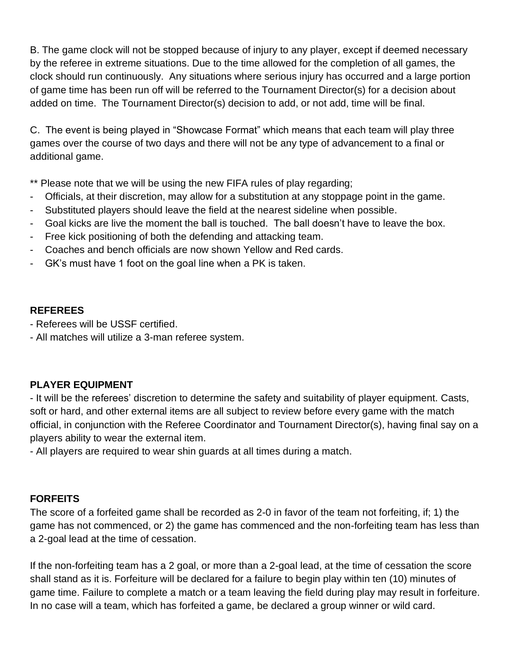B. The game clock will not be stopped because of injury to any player, except if deemed necessary by the referee in extreme situations. Due to the time allowed for the completion of all games, the clock should run continuously. Any situations where serious injury has occurred and a large portion of game time has been run off will be referred to the Tournament Director(s) for a decision about added on time. The Tournament Director(s) decision to add, or not add, time will be final.

C. The event is being played in "Showcase Format" which means that each team will play three games over the course of two days and there will not be any type of advancement to a final or additional game.

\*\* Please note that we will be using the new FIFA rules of play regarding;

- Officials, at their discretion, may allow for a substitution at any stoppage point in the game.
- Substituted players should leave the field at the nearest sideline when possible.
- Goal kicks are live the moment the ball is touched. The ball doesn't have to leave the box.
- Free kick positioning of both the defending and attacking team.
- Coaches and bench officials are now shown Yellow and Red cards.
- GK's must have 1 foot on the goal line when a PK is taken.

#### **REFEREES**

- Referees will be USSF certified.
- All matches will utilize a 3-man referee system.

#### **PLAYER EQUIPMENT**

- It will be the referees' discretion to determine the safety and suitability of player equipment. Casts, soft or hard, and other external items are all subject to review before every game with the match official, in conjunction with the Referee Coordinator and Tournament Director(s), having final say on a players ability to wear the external item.

- All players are required to wear shin guards at all times during a match.

#### **FORFEITS**

The score of a forfeited game shall be recorded as 2-0 in favor of the team not forfeiting, if; 1) the game has not commenced, or 2) the game has commenced and the non-forfeiting team has less than a 2-goal lead at the time of cessation.

If the non-forfeiting team has a 2 goal, or more than a 2-goal lead, at the time of cessation the score shall stand as it is. Forfeiture will be declared for a failure to begin play within ten (10) minutes of game time. Failure to complete a match or a team leaving the field during play may result in forfeiture. In no case will a team, which has forfeited a game, be declared a group winner or wild card.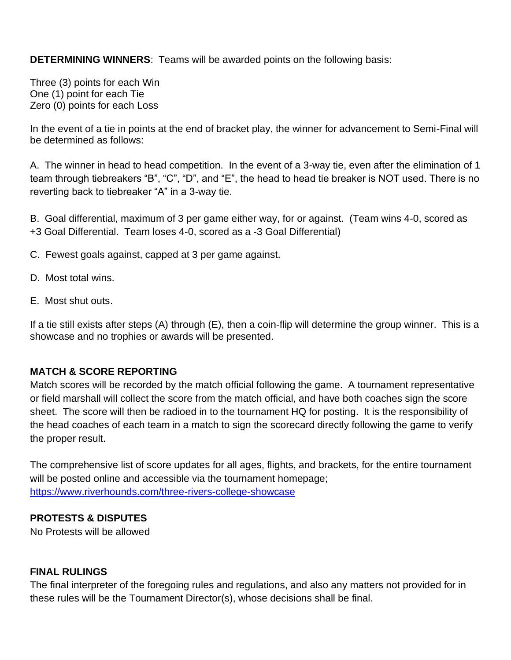**DETERMINING WINNERS**: Teams will be awarded points on the following basis:

Three (3) points for each Win One (1) point for each Tie Zero (0) points for each Loss

In the event of a tie in points at the end of bracket play, the winner for advancement to Semi-Final will be determined as follows:

A. The winner in head to head competition. In the event of a 3-way tie, even after the elimination of 1 team through tiebreakers "B", "C", "D", and "E", the head to head tie breaker is NOT used. There is no reverting back to tiebreaker "A" in a 3-way tie.

B. Goal differential, maximum of 3 per game either way, for or against. (Team wins 4-0, scored as +3 Goal Differential. Team loses 4-0, scored as a -3 Goal Differential)

C. Fewest goals against, capped at 3 per game against.

- D. Most total wins.
- E. Most shut outs.

If a tie still exists after steps (A) through (E), then a coin-flip will determine the group winner. This is a showcase and no trophies or awards will be presented.

#### **MATCH & SCORE REPORTING**

Match scores will be recorded by the match official following the game. A tournament representative or field marshall will collect the score from the match official, and have both coaches sign the score sheet. The score will then be radioed in to the tournament HQ for posting. It is the responsibility of the head coaches of each team in a match to sign the scorecard directly following the game to verify the proper result.

The comprehensive list of score updates for all ages, flights, and brackets, for the entire tournament will be posted online and accessible via the tournament homepage; <https://www.riverhounds.com/three-rivers-college-showcase>

#### **PROTESTS & DISPUTES**

No Protests will be allowed

#### **FINAL RULINGS**

The final interpreter of the foregoing rules and regulations, and also any matters not provided for in these rules will be the Tournament Director(s), whose decisions shall be final.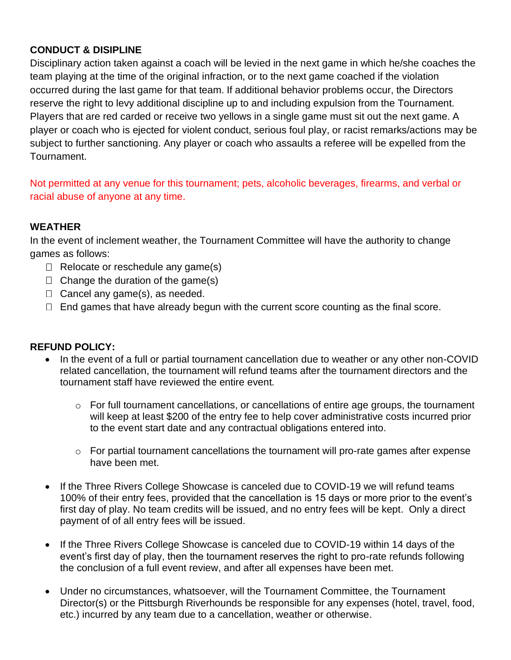#### **CONDUCT & DISIPLINE**

Disciplinary action taken against a coach will be levied in the next game in which he/she coaches the team playing at the time of the original infraction, or to the next game coached if the violation occurred during the last game for that team. If additional behavior problems occur, the Directors reserve the right to levy additional discipline up to and including expulsion from the Tournament. Players that are red carded or receive two yellows in a single game must sit out the next game. A player or coach who is ejected for violent conduct, serious foul play, or racist remarks/actions may be subject to further sanctioning. Any player or coach who assaults a referee will be expelled from the Tournament.

Not permitted at any venue for this tournament; pets, alcoholic beverages, firearms, and verbal or racial abuse of anyone at any time.

#### **WEATHER**

In the event of inclement weather, the Tournament Committee will have the authority to change games as follows:

- $\Box$  Relocate or reschedule any game(s)
- $\Box$  Change the duration of the game(s)
- $\Box$  Cancel any game(s), as needed.
- $\Box$  End games that have already begun with the current score counting as the final score.

#### **REFUND POLICY:**

- In the event of a full or partial tournament cancellation due to weather or any other non-COVID related cancellation, the tournament will refund teams after the tournament directors and the tournament staff have reviewed the entire event.
	- o For full tournament cancellations, or cancellations of entire age groups, the tournament will keep at least \$200 of the entry fee to help cover administrative costs incurred prior to the event start date and any contractual obligations entered into.
	- o For partial tournament cancellations the tournament will pro-rate games after expense have been met.
- If the Three Rivers College Showcase is canceled due to COVID-19 we will refund teams 100% of their entry fees, provided that the cancellation is 15 days or more prior to the event's first day of play. No team credits will be issued, and no entry fees will be kept. Only a direct payment of of all entry fees will be issued.
- If the Three Rivers College Showcase is canceled due to COVID-19 within 14 days of the event's first day of play, then the tournament reserves the right to pro-rate refunds following the conclusion of a full event review, and after all expenses have been met.
- Under no circumstances, whatsoever, will the Tournament Committee, the Tournament Director(s) or the Pittsburgh Riverhounds be responsible for any expenses (hotel, travel, food, etc.) incurred by any team due to a cancellation, weather or otherwise.